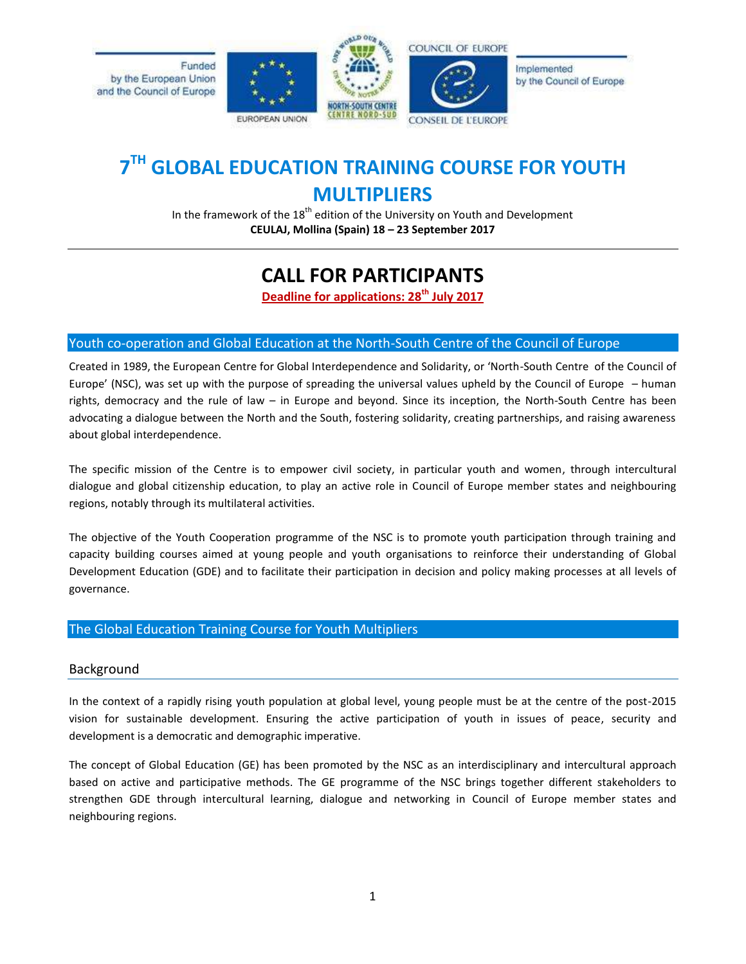

# **7 TH GLOBAL EDUCATION TRAINING COURSE FOR YOUTH MULTIPLIERS**

In the framework of the  $18<sup>th</sup>$  edition of the University on Youth and Development **CEULAJ, Mollina (Spain) 18 – 23 September 2017**

# **CALL FOR PARTICIPANTS**

**Deadline for applications: 28th July 2017**

## Youth co-operation and Global Education at the North-South Centre of the Council of Europe

Created in 1989, the European Centre for Global Interdependence and Solidarity, or 'North-South Centre of the Council of Europe' (NSC), was set up with the purpose of spreading the universal values upheld by the Council of Europe – human rights, democracy and the rule of law – in Europe and beyond. Since its inception, the North-South Centre has been advocating a dialogue between the North and the South, fostering solidarity, creating partnerships, and raising awareness about global interdependence.

The specific mission of the Centre is to empower civil society, in particular youth and women, through intercultural dialogue and global citizenship education, to play an active role in Council of Europe member states and neighbouring regions, notably through its multilateral activities.

The objective of the Youth Cooperation programme of the NSC is to promote youth participation through training and capacity building courses aimed at young people and youth organisations to reinforce their understanding of Global Development Education (GDE) and to facilitate their participation in decision and policy making processes at all levels of governance.

### The Global Education Training Course for Youth Multipliers

### Background

In the context of a rapidly rising youth population at global level, young people must be at the centre of the post-2015 vision for sustainable development. Ensuring the active participation of youth in issues of peace, security and development is a democratic and demographic imperative.

The concept of Global Education (GE) has been promoted by the NSC as an interdisciplinary and intercultural approach based on active and participative methods. The GE programme of the NSC brings together different stakeholders to strengthen GDE through intercultural learning, dialogue and networking in Council of Europe member states and neighbouring regions.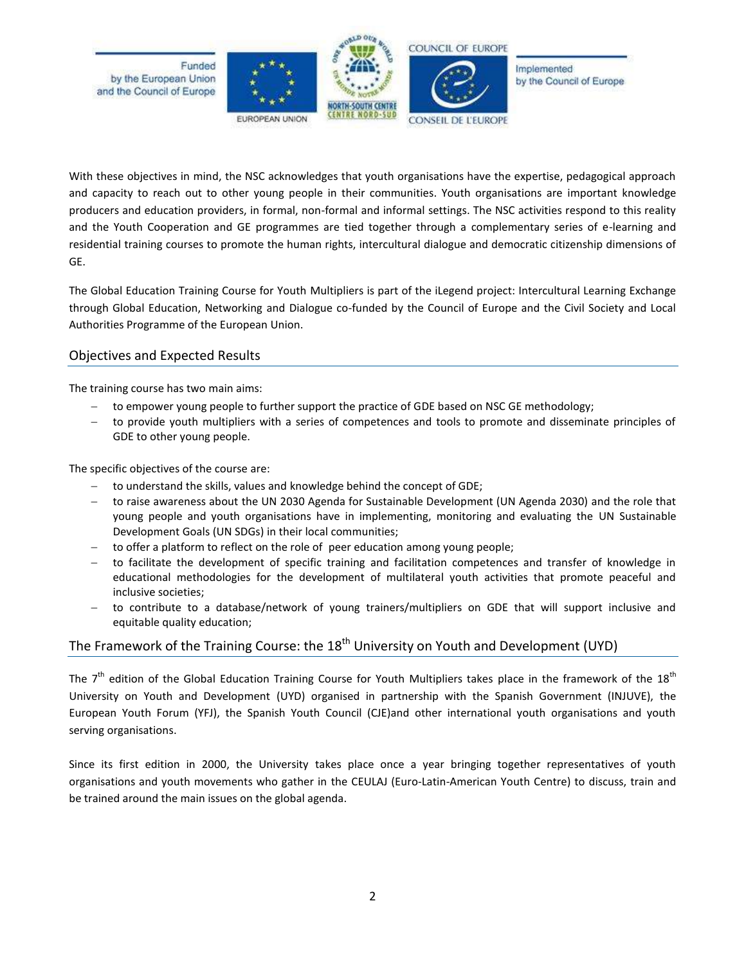

With these objectives in mind, the NSC acknowledges that youth organisations have the expertise, pedagogical approach and capacity to reach out to other young people in their communities. Youth organisations are important knowledge producers and education providers, in formal, non-formal and informal settings. The NSC activities respond to this reality and the Youth Cooperation and GE programmes are tied together through a complementary series of e-learning and residential training courses to promote the human rights, intercultural dialogue and democratic citizenship dimensions of GE.

The Global Education Training Course for Youth Multipliers is part of the iLegend project: Intercultural Learning Exchange through Global Education, Networking and Dialogue co-funded by the Council of Europe and the Civil Society and Local Authorities Programme of the European Union.

## Objectives and Expected Results

The training course has two main aims:

- to empower young people to further support the practice of GDE based on NSC GE methodology;
- to provide youth multipliers with a series of competences and tools to promote and disseminate principles of GDE to other young people.

The specific objectives of the course are:

- to understand the skills, values and knowledge behind the concept of GDE;
- to raise awareness about the UN 2030 Agenda for Sustainable Development (UN Agenda 2030) and the role that young people and youth organisations have in implementing, monitoring and evaluating the UN Sustainable Development Goals (UN SDGs) in their local communities;
- to offer a platform to reflect on the role of peer education among young people;
- to facilitate the development of specific training and facilitation competences and transfer of knowledge in educational methodologies for the development of multilateral youth activities that promote peaceful and inclusive societies;
- to contribute to a database/network of young trainers/multipliers on GDE that will support inclusive and equitable quality education;

# The Framework of the Training Course: the 18<sup>th</sup> University on Youth and Development (UYD)

The  $7^{\text{th}}$  edition of the Global Education Training Course for Youth Multipliers takes place in the framework of the 18<sup>th</sup> University on Youth and Development (UYD) organised in partnership with the Spanish Government (INJUVE), the European Youth Forum (YFJ), the Spanish Youth Council (CJE)and other international youth organisations and youth serving organisations.

Since its first edition in 2000, the University takes place once a year bringing together representatives of youth organisations and youth movements who gather in the CEULAJ (Euro-Latin-American Youth Centre) to discuss, train and be trained around the main issues on the global agenda.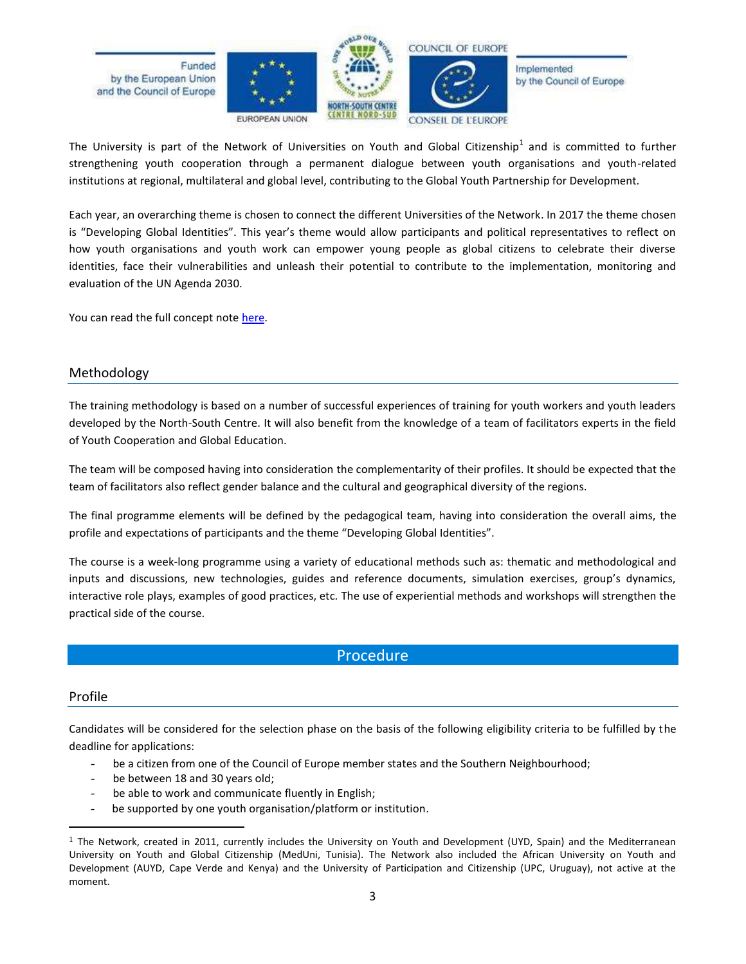

The University is part of the Network of Universities on Youth and Global Citizenship<sup>1</sup> and is committed to further strengthening youth cooperation through a permanent dialogue between youth organisations and youth-related institutions at regional, multilateral and global level, contributing to the Global Youth Partnership for Development.

Each year, an overarching theme is chosen to connect the different Universities of the Network. In 2017 the theme chosen is "Developing Global Identities". This year's theme would allow participants and political representatives to reflect on how youth organisations and youth work can empower young people as global citizens to celebrate their diverse identities, face their vulnerabilities and unleash their potential to contribute to the implementation, monitoring and evaluation of the UN Agenda 2030.

You can read the full concept not[e here.](http://www.coe.int/t/dg4/nscentre/News/2017/NSC-YC-CN_Developing%20Global%20Identities_EN.pdf)

### Methodology

The training methodology is based on a number of successful experiences of training for youth workers and youth leaders developed by the North-South Centre. It will also benefit from the knowledge of a team of facilitators experts in the field of Youth Cooperation and Global Education.

The team will be composed having into consideration the complementarity of their profiles. It should be expected that the team of facilitators also reflect gender balance and the cultural and geographical diversity of the regions.

The final programme elements will be defined by the pedagogical team, having into consideration the overall aims, the profile and expectations of participants and the theme "Developing Global Identities".

The course is a week-long programme using a variety of educational methods such as: thematic and methodological and inputs and discussions, new technologies, guides and reference documents, simulation exercises, group's dynamics, interactive role plays, examples of good practices, etc. The use of experiential methods and workshops will strengthen the practical side of the course.

# Procedure

#### Profile

 $\overline{\phantom{a}}$ 

Candidates will be considered for the selection phase on the basis of the following eligibility criteria to be fulfilled by the deadline for applications:

- be a citizen from one of the Council of Europe member states and the Southern Neighbourhood;
- be between 18 and 30 years old;
- be able to work and communicate fluently in English;
- be supported by one youth organisation/platform or institution.

 $1$  The Network, created in 2011, currently includes the University on Youth and Development (UYD, Spain) and the Mediterranean University on Youth and Global Citizenship (MedUni, Tunisia). The Network also included the African University on Youth and Development (AUYD, Cape Verde and Kenya) and the University of Participation and Citizenship (UPC, Uruguay), not active at the moment.